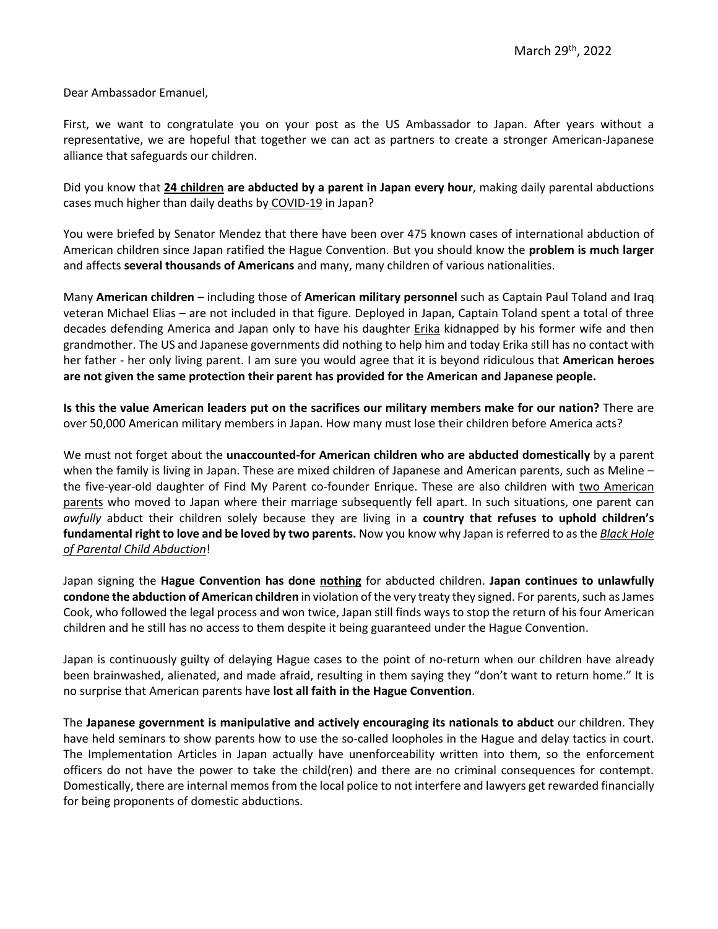Dear Ambassador Emanuel,

First, we want to congratulate you on your post as the US Ambassador to Japan. After years without a representative, we are hopeful that together we can act as partners to create a stronger American-Japanese alliance that safeguards our children.

Did you know that **24 children are abducted by a parent in Japan every hour**, making daily parental abductions cases much higher than daily deaths by COVID-19 in Japan?

You were briefed by Senator Mendez that there have been over 475 known cases of international abduction of American children since Japan ratified the Hague Convention. But you should know the **problem is much larger**  and affects **several thousands of Americans** and many, many children of various nationalities.

Many **American children** – including those of **American military personnel** such as Captain Paul Toland and Iraq veteran Michael Elias – are not included in that figure. Deployed in Japan, Captain Toland spent a total of three decades defending America and Japan only to have his daughter *Erika* kidnapped by his former wife and then grandmother. The US and Japanese governments did nothing to help him and today Erika still has no contact with her father - her only living parent. I am sure you would agree that it is beyond ridiculous that **American heroes are not given the same protection their parent has provided for the American and Japanese people.**

**Is this the value American leaders put on the sacrifices our military members make for our nation?** There are over 50,000 American military members in Japan. How many must lose their children before America acts?

We must not forget about the **unaccounted-for American children who are abducted domestically** by a parent when the family is living in Japan. These are mixed children of Japanese and American parents, such as Meline – the five-year-old daughter of Find My Parent co-founder Enrique. These are also children with two American parents who moved to Japan where their marriage subsequently fell apart. In such situations, one parent can *awfully* abduct their children solely because they are living in a **country that refuses to uphold children's fundamental right to love and be loved by two parents.** Now you know why Japan is referred to as the *Black Hole of Parental Child Abduction*!

Japan signing the **Hague Convention has done nothing** for abducted children. **Japan continues to unlawfully condone the abduction of American children** in violation of the very treaty they signed. For parents, such as James Cook, who followed the legal process and won twice, Japan still finds ways to stop the return of his four American children and he still has no access to them despite it being guaranteed under the Hague Convention.

Japan is continuously guilty of delaying Hague cases to the point of no-return when our children have already been brainwashed, alienated, and made afraid, resulting in them saying they "don't want to return home." It is no surprise that American parents have **lost all faith in the Hague Convention**.

The **Japanese government is manipulative and actively encouraging its nationals to abduct** our children. They have held seminars to show parents how to use the so-called loopholes in the Hague and delay tactics in court. The Implementation Articles in Japan actually have unenforceability written into them, so the enforcement officers do not have the power to take the child(ren) and there are no criminal consequences for contempt. Domestically, there are internal memos from the local police to not interfere and lawyers get rewarded financially for being proponents of domestic abductions.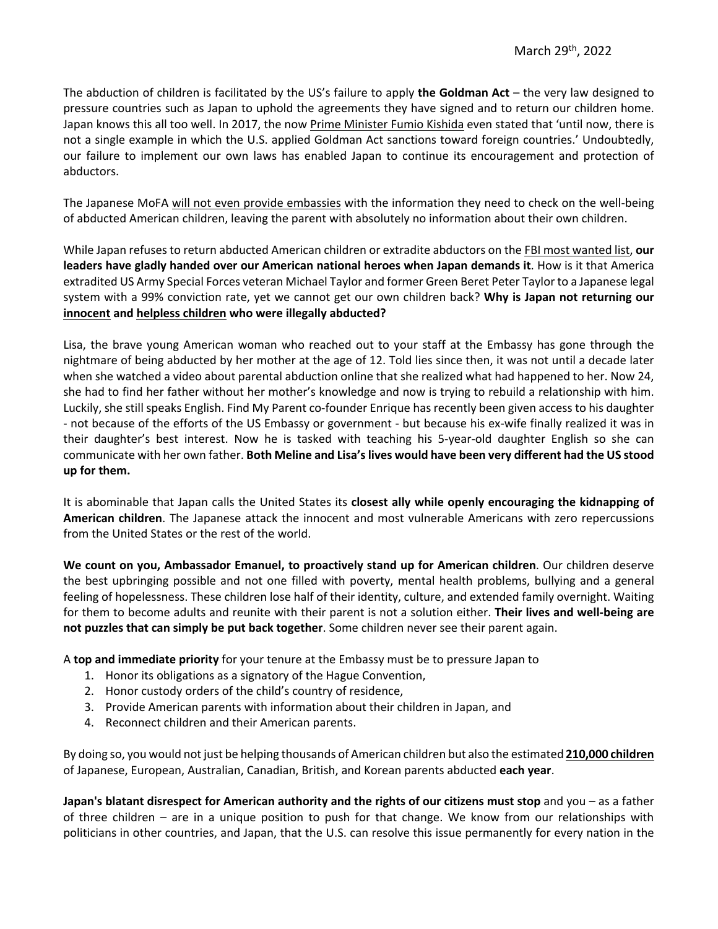The abduction of children is facilitated by the US's failure to apply **the Goldman Act** – the very law designed to pressure countries such as Japan to uphold the agreements they have signed and to return our children home. Japan knows this all too well. In 2017, the now Prime Minister Fumio Kishida even stated that 'until now, there is not a single example in which the U.S. applied Goldman Act sanctions toward foreign countries.' Undoubtedly, our failure to implement our own laws has enabled Japan to continue its encouragement and protection of abductors.

The Japanese MoFA will not even provide embassies with the information they need to check on the well-being of abducted American children, leaving the parent with absolutely no information about their own children.

While Japan refuses to return abducted American children or extradite abductors on the FBI most wanted list, **our leaders have gladly handed over our American national heroes when Japan demands it**. How is it that America extradited US Army Special Forces veteran Michael Taylor and former Green Beret Peter Taylor to a Japanese legal system with a 99% conviction rate, yet we cannot get our own children back? **Why is Japan not returning our innocent and helpless children who were illegally abducted?**

Lisa, the brave young American woman who reached out to your staff at the Embassy has gone through the nightmare of being abducted by her mother at the age of 12. Told lies since then, it was not until a decade later when she watched a video about parental abduction online that she realized what had happened to her. Now 24, she had to find her father without her mother's knowledge and now is trying to rebuild a relationship with him. Luckily, she still speaks English. Find My Parent co-founder Enrique has recently been given access to his daughter - not because of the efforts of the US Embassy or government - but because his ex-wife finally realized it was in their daughter's best interest. Now he is tasked with teaching his 5-year-old daughter English so she can communicate with her own father. **Both Meline and Lisa's lives would have been very different had the US stood up for them.**

It is abominable that Japan calls the United States its **closest ally while openly encouraging the kidnapping of American children**. The Japanese attack the innocent and most vulnerable Americans with zero repercussions from the United States or the rest of the world.

**We count on you, Ambassador Emanuel, to proactively stand up for American children**. Our children deserve the best upbringing possible and not one filled with poverty, mental health problems, bullying and a general feeling of hopelessness. These children lose half of their identity, culture, and extended family overnight. Waiting for them to become adults and reunite with their parent is not a solution either. **Their lives and well-being are not puzzles that can simply be put back together**. Some children never see their parent again.

A **top and immediate priority** for your tenure at the Embassy must be to pressure Japan to

- 1. Honor its obligations as a signatory of the Hague Convention,
- 2. Honor custody orders of the child's country of residence,
- 3. Provide American parents with information about their children in Japan, and
- 4. Reconnect children and their American parents.

By doing so, you would not just be helping thousands of American children but also the estimated **210,000 children** of Japanese, European, Australian, Canadian, British, and Korean parents abducted **each year**.

**Japan's blatant disrespect for American authority and the rights of our citizens must stop** and you – as a father of three children – are in a unique position to push for that change. We know from our relationships with politicians in other countries, and Japan, that the U.S. can resolve this issue permanently for every nation in the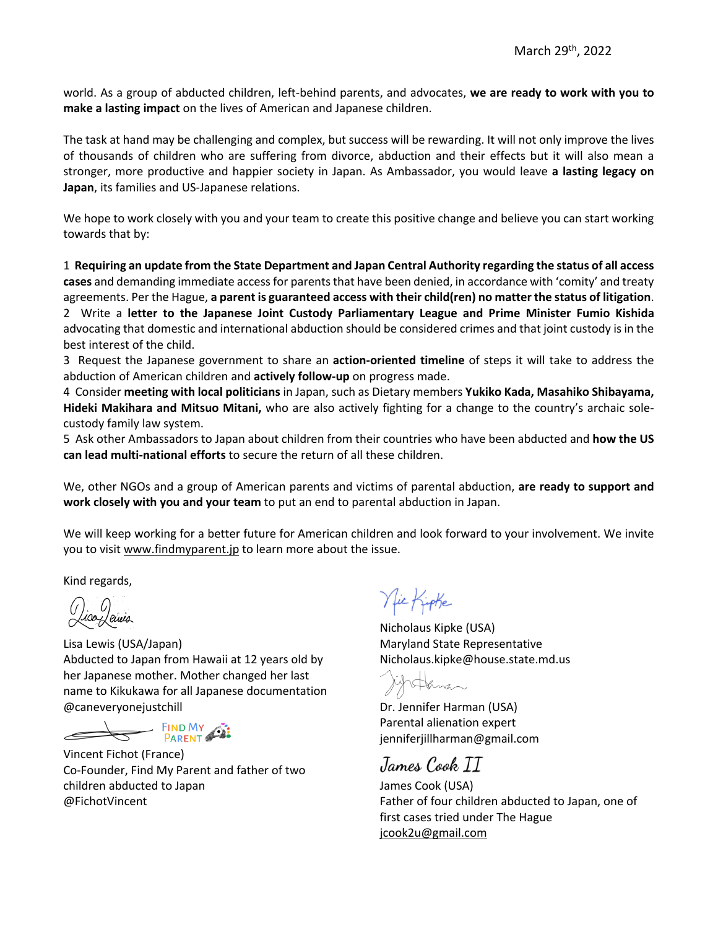world. As a group of abducted children, left-behind parents, and advocates, **we are ready to work with you to make a lasting impact** on the lives of American and Japanese children.

The task at hand may be challenging and complex, but success will be rewarding. It will not only improve the lives of thousands of children who are suffering from divorce, abduction and their effects but it will also mean a stronger, more productive and happier society in Japan. As Ambassador, you would leave **a lasting legacy on Japan**, its families and US-Japanese relations.

We hope to work closely with you and your team to create this positive change and believe you can start working towards that by:

1 **Requiring an update from the State Department and Japan Central Authority regarding the status of all access cases** and demanding immediate access for parents that have been denied, in accordance with 'comity' and treaty agreements. Per the Hague, **a parent is guaranteed access with their child(ren) no matter the status of litigation**. 2 Write a **letter to the Japanese Joint Custody Parliamentary League and Prime Minister Fumio Kishida**  advocating that domestic and international abduction should be considered crimes and that joint custody is in the best interest of the child.

3 Request the Japanese government to share an **action-oriented timeline** of steps it will take to address the abduction of American children and **actively follow-up** on progress made.

4 Consider **meeting with local politicians** in Japan, such as Dietary members **Yukiko Kada, Masahiko Shibayama, Hideki Makihara and Mitsuo Mitani,** who are also actively fighting for a change to the country's archaic solecustody family law system.

5 Ask other Ambassadors to Japan about children from their countries who have been abducted and **how the US can lead multi-national efforts** to secure the return of all these children.

We, other NGOs and a group of American parents and victims of parental abduction, **are ready to support and work closely with you and your team** to put an end to parental abduction in Japan.

We will keep working for a better future for American children and look forward to your involvement. We invite you to visit www.findmyparent.jp to learn more about the issue.

Kind regards,

() iso Jewis

Lisa Lewis (USA/Japan) Abducted to Japan from Hawaii at 12 years old by her Japanese mother. Mother changed her last name to Kikukawa for all Japanese documentation @caneveryonejustchill

**EIND MY ALL** 

Vincent Fichot (France) Co-Founder, Find My Parent and father of two children abducted to Japan @FichotVincent

Nic Kipke

Nicholaus Kipke (USA) Maryland State Representative Nicholaus.kipke@house.state.md.us

Ashiman

Dr. Jennifer Harman (USA) Parental alienation expert jenniferjillharman@gmail.com

James Cook TT

James Cook (USA) Father of four children abducted to Japan, one of first cases tried under The Hague jcook2u@gmail.com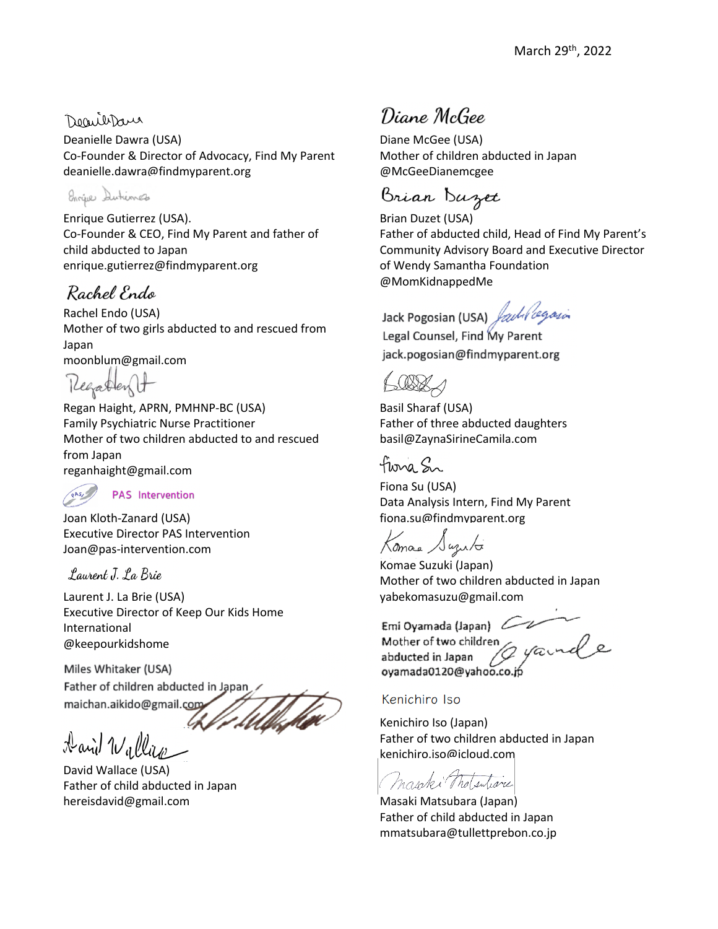### Decribbara

Deanielle Dawra (USA) Co-Founder & Director of Advocacy, Find My Parent deanielle.dawra@findmyparent.org

Enrique Dutiences

Enrique Gutierrez (USA). Co-Founder & CEO, Find My Parent and father of child abducted to Japan enrique.gutierrez@findmyparent.org

## Rachel Endo

Rachel Endo (USA) Mother of two girls abducted to and rescued from Japan moonblum@gmail.com

Regardent

Regan Haight, APRN, PMHNP-BC (USA) Family Psychiatric Nurse Practitioner Mother of two children abducted to and rescued from Japan reganhaight@gmail.com



Joan Kloth-Zanard (USA)

Executive Director PAS Intervention Joan@pas-intervention.com

### Laurent J. La Brie

Laurent J. La Brie (USA) Executive Director of Keep Our Kids Home International @keepourkidshome

Miles Whitaker (USA) Father of children abducted in Japan maichan.aikido@gmail.com

maichan.aikido@gmail.com Aavid Wallas

David Wallace (USA) Father of child abducted in Japan hereisdavid@gmail.com

Diane McGee

Diane McGee (USA) Mother of children abducted in Japan @McGeeDianemcgee

Brian Buzet

Brian Duzet (USA) Father of abducted child, Head of Find My Parent's Community Advisory Board and Executive Director of Wendy Samantha Foundation @MomKidnappedMe

Jacol Councel Find Legal Counsel, Find My Parent jack.pogosian@findmyparent.org

Basil Sharaf (USA) Father of three abducted daughters basil@ZaynaSirineCamila.com

Flora Sr

Fiona Su (USA) Data Analysis Intern, Find My Parent fiona.su@findmyparent.org

Komas Suzuto

Komae Suzuki (Japan) Mother of two children abducted in Japan yabekomasuzu@gmail.com

Mother of two childre abducted in Japan  $\mathcal{L}$ oyamada0120@yahoo.co

#### Kenichiro Iso

Kenichiro Iso (Japan) Father of two children abducted in Japan kenichiro.iso@icloud.com

mapps that subject

Masaki Matsubara (Japan) Father of child abducted in Japan mmatsubara@tullettprebon.co.jp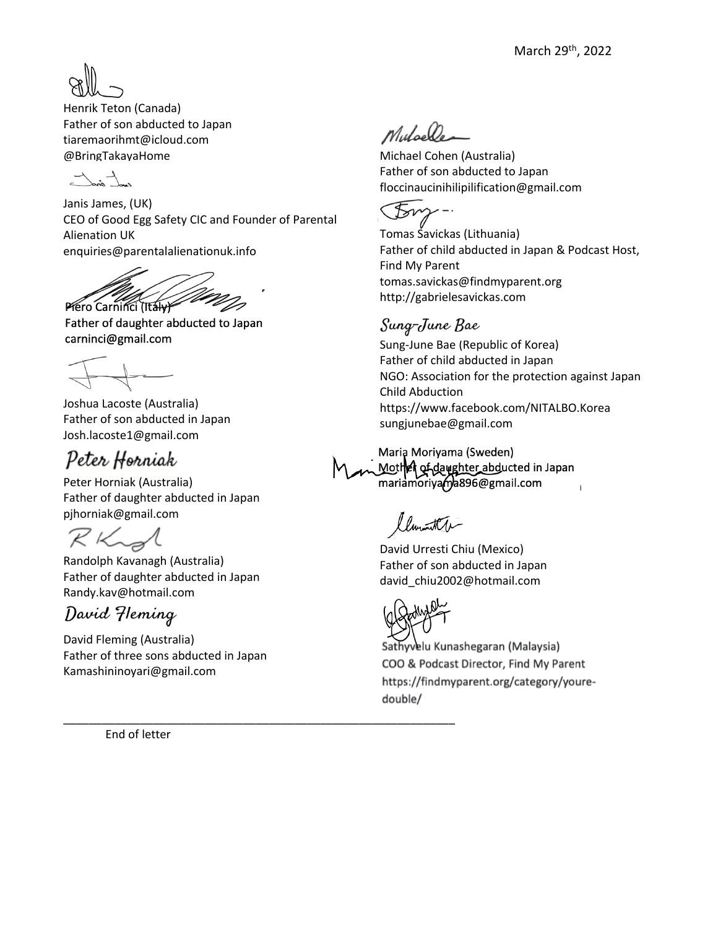

Henrik Teton (Canada) Father of son abducted to Japan tiaremaorihmt@icloud.com @BringTakayaHome

Janis James, (UK) CEO of Good Egg Safety CIC and Founder of Parental Alienation UK enquiries@parentalalienationuk.info

Piero Carninci (Italy Father of daughter abducted to Japan

carninci@gmail.com

Joshua Lacoste (Australia) Father of son abducted in Japan Josh.lacoste1@gmail.com

# Peter Horniak

Peter Horniak (Australia) Father of daughter abducted in Japan pjhorniak@gmail.com

 $R$ Kig

Randolph Kavanagh (Australia) Father of daughter abducted in Japan Randy.kav@hotmail.com

David Fleming

David Fleming (Australia) Father of three sons abducted in Japan Kamashininoyari@gmail.com

\_\_\_\_\_\_\_\_\_\_\_\_\_\_\_\_\_\_\_\_\_\_\_\_\_\_\_\_\_\_\_\_\_\_\_\_\_\_\_\_\_\_\_\_\_\_\_\_\_\_\_\_\_\_\_\_\_\_\_\_\_

End of letter

Muloelle

Michael Cohen (Australia) Father of son abducted to Japan floccinaucinihilipilification@gmail.com

Tomas Savickas (Lithuania) Father of child abducted in Japan & Podcast Host, Find My Parent tomas.savickas@findmyparent.org http://gabrielesavickas.com

## Sung-June Bae

Sung-June Bae (Republic of Korea) Father of child abducted in Japan NGO: Association for the protection against Japan Child Abduction https://www.facebook.com/NITALBO.Korea sungjunebae@gmail.com

Maria Moriyama (Sweden) Mother of daughter abducted in Japan mariamoriyama896@gmail.com

mariamoriyama896@gmail.com llumita

David Urresti Chiu (Mexico) Father of son abducted in Japan david\_chiu2002@hotmail.com



Sathyvelu Kunashegaran (Malaysia) COO & Podcast Director, Find My Parent https://findmyparent.org/category/youredouble/